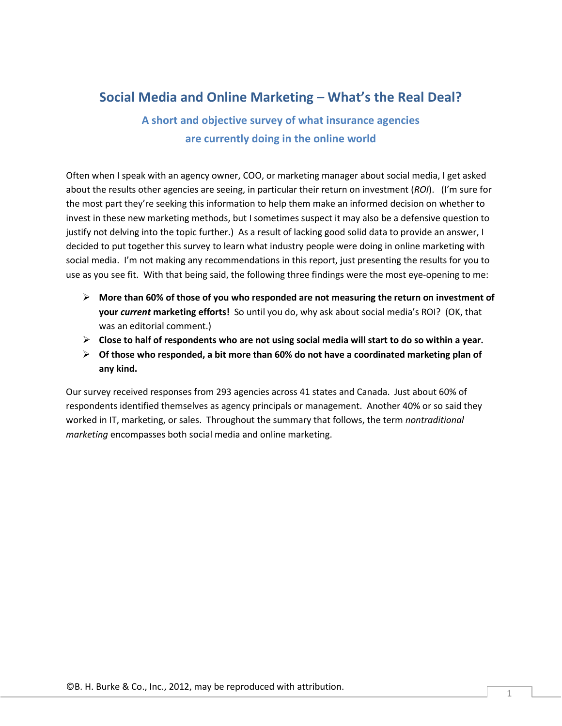## **Social Media and Online Marketing – What's the Real Deal?**

**A short and objective survey of what insurance agencies are currently doing in the online world**

Often when I speak with an agency owner, COO, or marketing manager about social media, I get asked about the results other agencies are seeing, in particular their return on investment (*ROI*). (I'm sure for the most part they're seeking this information to help them make an informed decision on whether to invest in these new marketing methods, but I sometimes suspect it may also be a defensive question to justify not delving into the topic further.) As a result of lacking good solid data to provide an answer, I decided to put together this survey to learn what industry people were doing in online marketing with social media. I'm not making any recommendations in this report, just presenting the results for you to use as you see fit. With that being said, the following three findings were the most eye-opening to me:

- **More than 60% of those of you who responded are not measuring the return on investment of your** *current* **marketing efforts!** So until you do, why ask about social media's ROI? (OK, that was an editorial comment.)
- **Close to half of respondents who are not using social media will start to do so within a year.**
- **Of those who responded, a bit more than 60% do not have a coordinated marketing plan of any kind.**

Our survey received responses from 293 agencies across 41 states and Canada. Just about 60% of respondents identified themselves as agency principals or management. Another 40% or so said they worked in IT, marketing, or sales. Throughout the summary that follows, the term *nontraditional marketing* encompasses both social media and online marketing.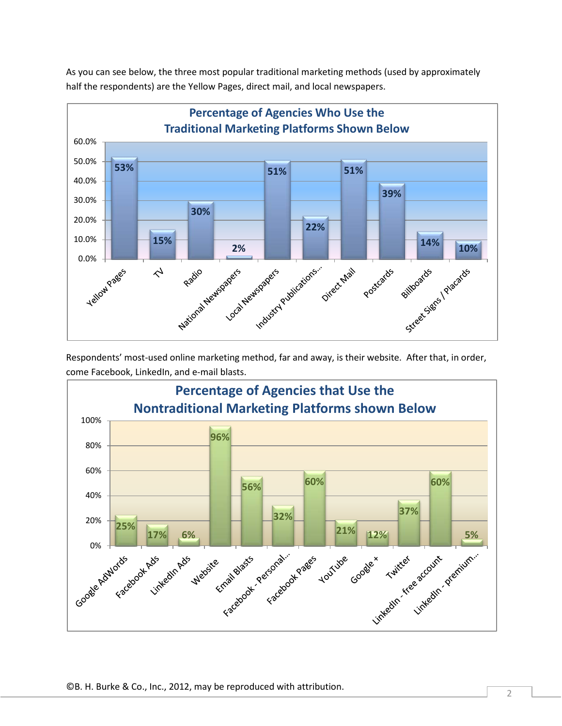As you can see below, the three most popular traditional marketing methods (used by approximately half the respondents) are the Yellow Pages, direct mail, and local newspapers.



Respondents' most-used online marketing method, far and away, is their website. After that, in order, come Facebook, LinkedIn, and e-mail blasts.

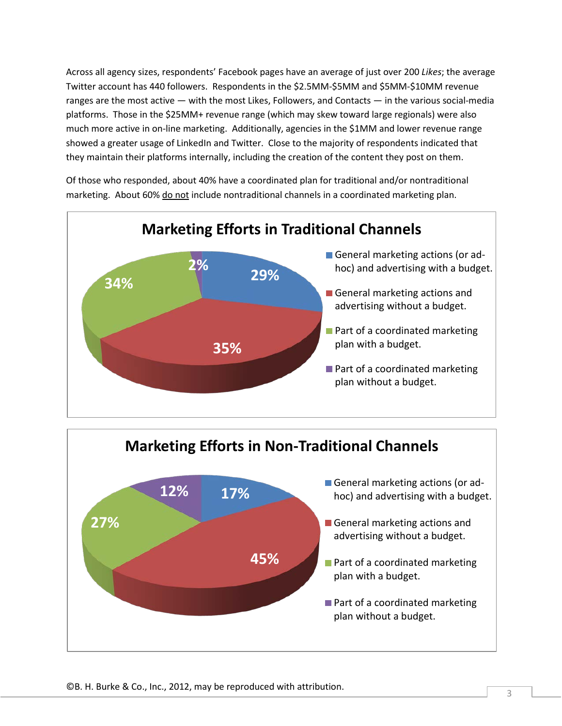Across all agency sizes, respondents' Facebook pages have an average of just over 200 *Likes*; the average Twitter account has 440 followers. Respondents in the \$2.5MM-\$5MM and \$5MM-\$10MM revenue ranges are the most active — with the most Likes, Followers, and Contacts — in the various social-media platforms. Those in the \$25MM+ revenue range (which may skew toward large regionals) were also much more active in on-line marketing. Additionally, agencies in the \$1MM and lower revenue range showed a greater usage of LinkedIn and Twitter. Close to the majority of respondents indicated that they maintain their platforms internally, including the creation of the content they post on them.

Of those who responded, about 40% have a coordinated plan for traditional and/or nontraditional marketing. About 60% do not include nontraditional channels in a coordinated marketing plan.



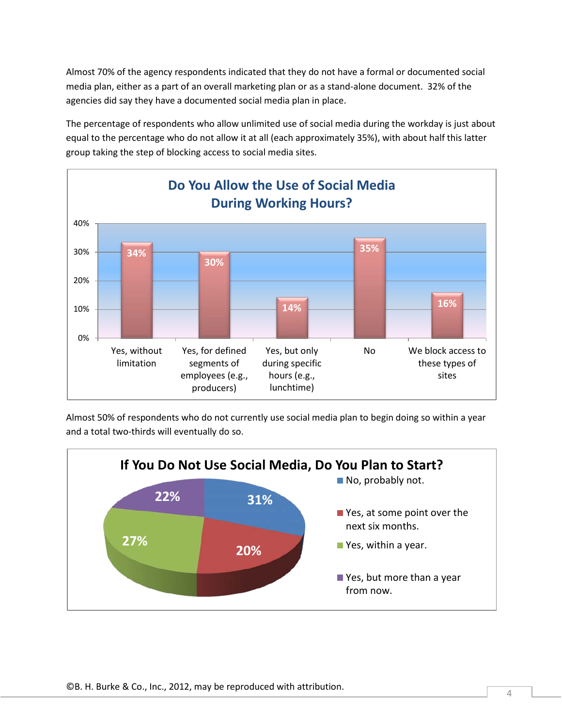Almost 70% of the agency respondents indicated that they do not have a formal or documented social media plan, either as a part of an overall marketing plan or as a stand-alone document. 32% of the agencies did say they have a documented social media plan in place.

The percentage of respondents who allow unlimited use of social media during the workday is just about equal to the percentage who do not allow it at all (each approximately 35%), with about half this latter group taking the step of blocking access to social media sites.



Almost 50% of respondents who do not currently use social media plan to begin doing so within a year and a total two-thirds will eventually do so.

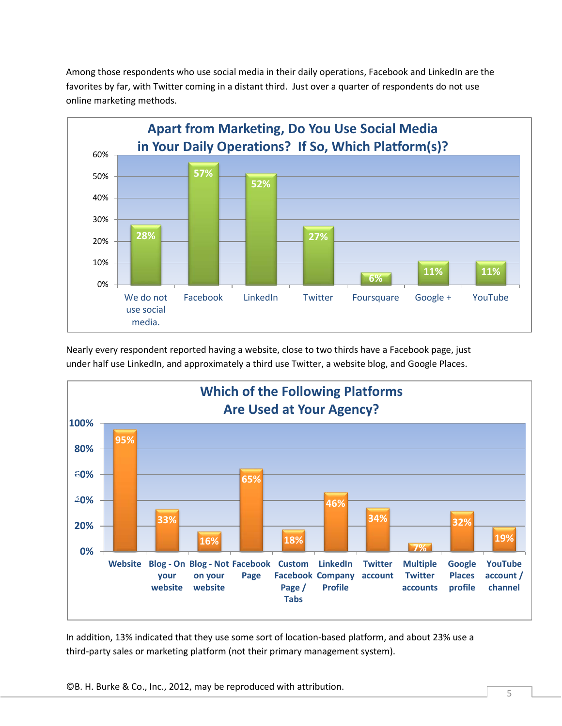Among those respondents who use social media in their daily operations, Facebook and LinkedIn are the favorites by far, with Twitter coming in a distant third. Just over a quarter of respondents do not use online marketing methods.



Nearly every respondent reported having a website, close to two thirds have a Facebook page, just under half use LinkedIn, and approximately a third use Twitter, a website blog, and Google Places.



In addition, 13% indicated that they use some sort of location-based platform, and about 23% use a third-party sales or marketing platform (not their primary management system).

©B. H. Burke & Co., Inc., 2012, may be reproduced with attribution.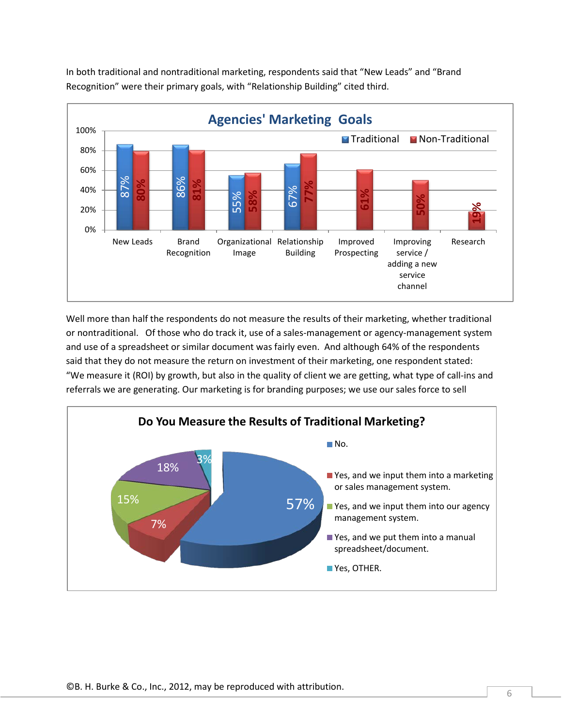

In both traditional and nontraditional marketing, respondents said that "New Leads" and "Brand Recognition" were their primary goals, with "Relationship Building" cited third.

Well more than half the respondents do not measure the results of their marketing, whether traditional or nontraditional. Of those who do track it, use of a sales-management or agency-management system and use of a spreadsheet or similar document was fairly even. And although 64% of the respondents said that they do not measure the return on investment of their marketing, one respondent stated: "We measure it (ROI) by growth, but also in the quality of client we are getting, what type of call-ins and

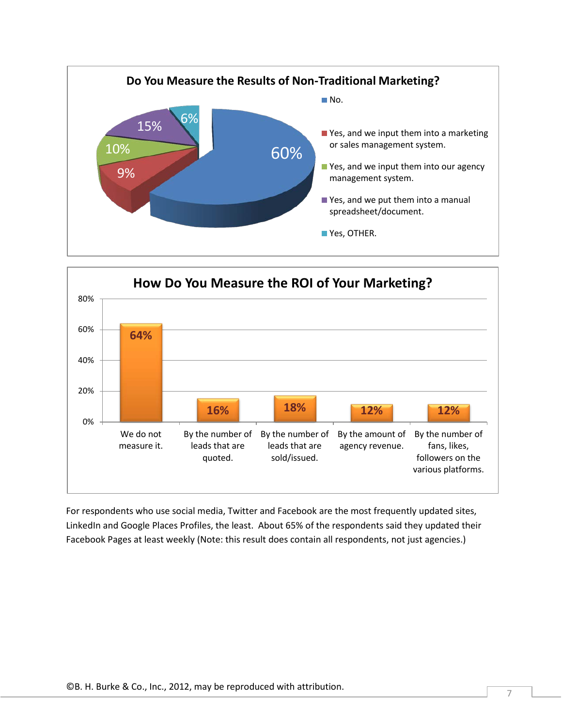



For respondents who use social media, Twitter and Facebook are the most frequently updated sites, LinkedIn and Google Places Profiles, the least. About 65% of the respondents said they updated their Facebook Pages at least weekly (Note: this result does contain all respondents, not just agencies.)